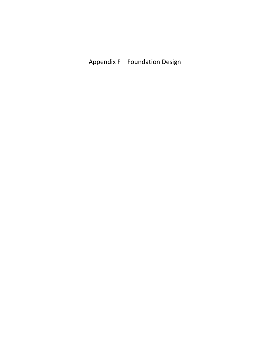Appendix F - Foundation Design